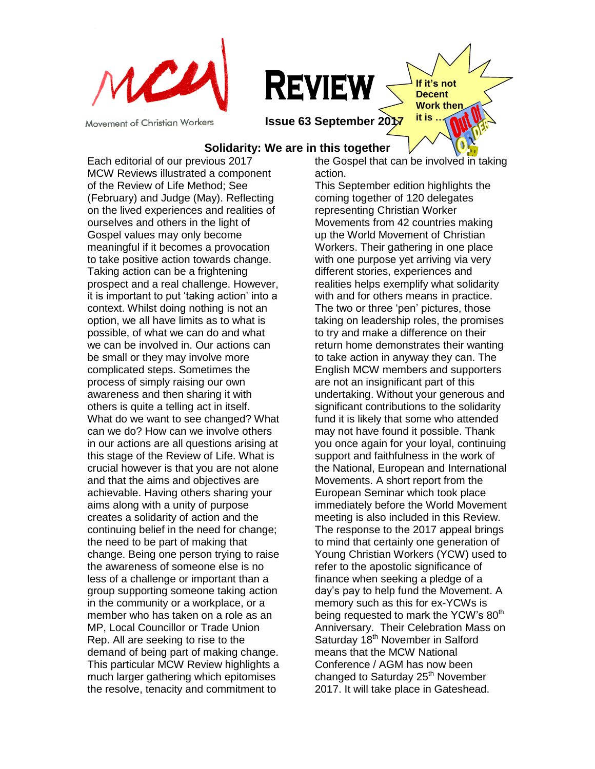

Movement of Christian Workers

**REVIEW** 

**it is. issue 63 September 2017 it is.** 

### **Solidarity: We are in this together**

Each editorial of our previous 2017 MCW Reviews illustrated a component of the Review of Life Method; See (February) and Judge (May). Reflecting on the lived experiences and realities of ourselves and others in the light of Gospel values may only become meaningful if it becomes a provocation to take positive action towards change. Taking action can be a frightening prospect and a real challenge. However, it is important to put "taking action" into a context. Whilst doing nothing is not an option, we all have limits as to what is possible, of what we can do and what we can be involved in. Our actions can be small or they may involve more complicated steps. Sometimes the process of simply raising our own awareness and then sharing it with others is quite a telling act in itself. What do we want to see changed? What can we do? How can we involve others in our actions are all questions arising at this stage of the Review of Life. What is crucial however is that you are not alone and that the aims and objectives are achievable. Having others sharing your aims along with a unity of purpose creates a solidarity of action and the continuing belief in the need for change; the need to be part of making that change. Being one person trying to raise the awareness of someone else is no less of a challenge or important than a group supporting someone taking action in the community or a workplace, or a member who has taken on a role as an MP, Local Councillor or Trade Union Rep. All are seeking to rise to the demand of being part of making change. This particular MCW Review highlights a much larger gathering which epitomises the resolve, tenacity and commitment to

the Gospel that can be involved in taking action.

**If it's not Decent Work then** 

This September edition highlights the coming together of 120 delegates representing Christian Worker Movements from 42 countries making up the World Movement of Christian Workers. Their gathering in one place with one purpose yet arriving via very different stories, experiences and realities helps exemplify what solidarity with and for others means in practice. The two or three "pen" pictures, those taking on leadership roles, the promises to try and make a difference on their return home demonstrates their wanting to take action in anyway they can. The English MCW members and supporters are not an insignificant part of this undertaking. Without your generous and significant contributions to the solidarity fund it is likely that some who attended may not have found it possible. Thank you once again for your loyal, continuing support and faithfulness in the work of the National, European and International Movements. A short report from the European Seminar which took place immediately before the World Movement meeting is also included in this Review. The response to the 2017 appeal brings to mind that certainly one generation of Young Christian Workers (YCW) used to refer to the apostolic significance of finance when seeking a pledge of a day"s pay to help fund the Movement. A memory such as this for ex-YCWs is being requested to mark the YCW's 80<sup>th</sup> Anniversary. Their Celebration Mass on Saturday 18<sup>th</sup> November in Salford means that the MCW National Conference / AGM has now been changed to Saturday 25<sup>th</sup> November 2017. It will take place in Gateshead.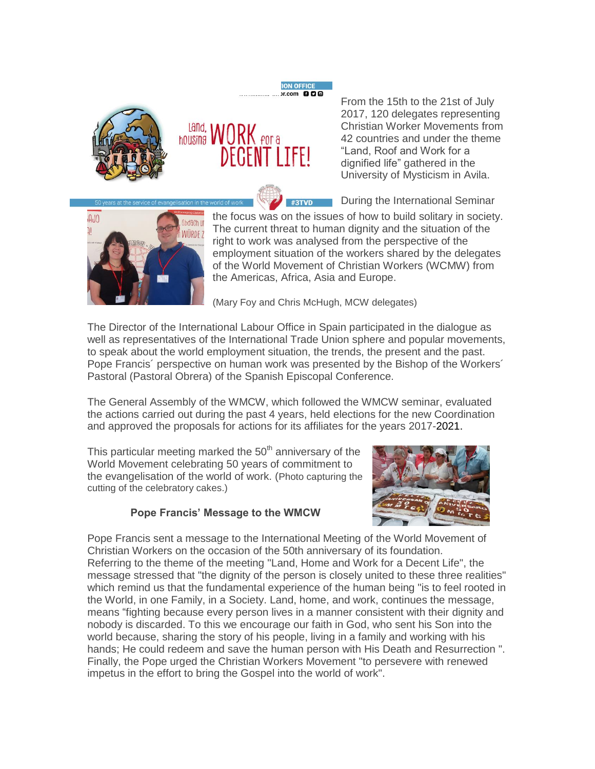



From the 15th to the 21st of July 2017, 120 delegates representing Christian Worker Movements from 42 countries and under the theme "Land, Roof and Work for a dignified life" gathered in the University of Mysticism in Avila.

During the International Seminar



the focus was on the issues of how to build solitary in society. The current threat to human dignity and the situation of the right to work was analysed from the perspective of the employment situation of the workers shared by the delegates of the World Movement of Christian Workers (WCMW) from the Americas, Africa, Asia and Europe.

(Mary Foy and Chris McHugh, MCW delegates)

The Director of the International Labour Office in Spain participated in the dialogue as well as representatives of the International Trade Union sphere and popular movements, to speak about the world employment situation, the trends, the present and the past. Pope Francis´ perspective on human work was presented by the Bishop of the Workers´ Pastoral (Pastoral Obrera) of the Spanish Episcopal Conference.

**ION OFFICE**  $r_{\rm com}$  000

#3TVD

The General Assembly of the WMCW, which followed the WMCW seminar, evaluated the actions carried out during the past 4 years, held elections for the new Coordination and approved the proposals for actions for its affiliates for the years 2017-2021.

This particular meeting marked the  $50<sup>th</sup>$  anniversary of the World Movement celebrating 50 years of commitment to the evangelisation of the world of work. (Photo capturing the cutting of the celebratory cakes.)

# **Pope Francis' Message to the WMCW**



Pope Francis sent a message to the International Meeting of the World Movement of Christian Workers on the occasion of the 50th anniversary of its foundation. Referring to the theme of the meeting "Land, Home and Work for a Decent Life", the message stressed that "the dignity of the person is closely united to these three realities" which remind us that the fundamental experience of the human being "is to feel rooted in the World, in one Family, in a Society. Land, home, and work, continues the message, means "fighting because every person lives in a manner consistent with their dignity and nobody is discarded. To this we encourage our faith in God, who sent his Son into the world because, sharing the story of his people, living in a family and working with his hands; He could redeem and save the human person with His Death and Resurrection ". Finally, the Pope urged the Christian Workers Movement "to persevere with renewed impetus in the effort to bring the Gospel into the world of work".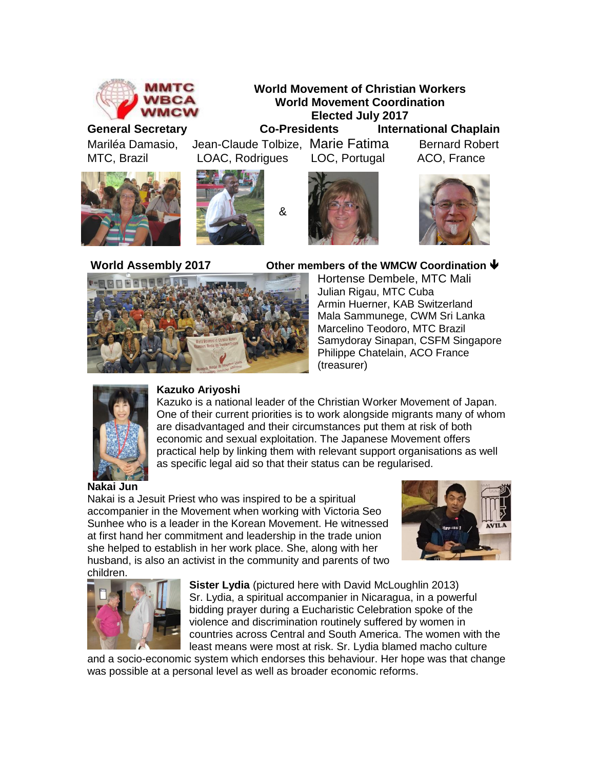







Mariléa Damasio, Jean-Claude Tolbize, Marie FatimaBernard Robert MTC, Brazil LOAC, Rodrigues LOC, Portugal ACO, France

&







### **World Assembly 2017 Other members of the WMCW Coordination**

Hortense Dembele, MTC Mali Julian Rigau, MTC Cuba Armin Huerner, KAB Switzerland Mala Sammunege, CWM Sri Lanka Marcelino Teodoro, MTC Brazil Samydoray Sinapan, CSFM Singapore Philippe Chatelain, ACO France (treasurer)



### **Kazuko Ariyoshi**

Kazuko is a national leader of the Christian Worker Movement of Japan. One of their current priorities is to work alongside migrants many of whom are disadvantaged and their circumstances put them at risk of both economic and sexual exploitation. The Japanese Movement offers practical help by linking them with relevant support organisations as well as specific legal aid so that their status can be regularised.

Nakai is a Jesuit Priest who was inspired to be a spiritual accompanier in the Movement when working with Victoria Seo Sunhee who is a leader in the Korean Movement. He witnessed at first hand her commitment and leadership in the trade union she helped to establish in her work place. She, along with her husband, is also an activist in the community and parents of two children.





**Sister Lydia** (pictured here with David McLoughlin 2013) Sr. Lydia, a spiritual accompanier in Nicaragua, in a powerful bidding prayer during a Eucharistic Celebration spoke of the violence and discrimination routinely suffered by women in countries across Central and South America. The women with the least means were most at risk. Sr. Lydia blamed macho culture

and a socio-economic system which endorses this behaviour. Her hope was that change was possible at a personal level as well as broader economic reforms.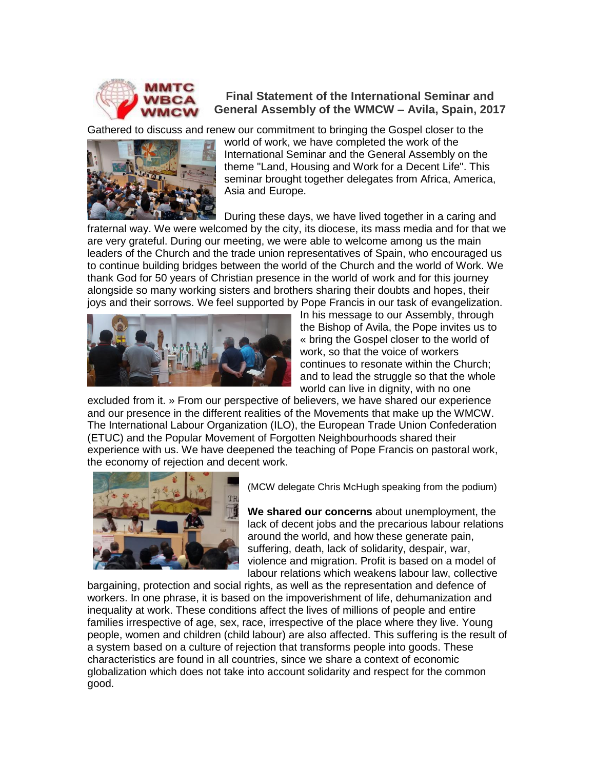

# **Final Statement of the International Seminar and General Assembly of the WMCW – Avila, Spain, 2017**

Gathered to discuss and renew our commitment to bringing the Gospel closer to the



world of work, we have completed the work of the International Seminar and the General Assembly on the theme "Land, Housing and Work for a Decent Life". This seminar brought together delegates from Africa, America, Asia and Europe.

During these days, we have lived together in a caring and

fraternal way. We were welcomed by the city, its diocese, its mass media and for that we are very grateful. During our meeting, we were able to welcome among us the main leaders of the Church and the trade union representatives of Spain, who encouraged us to continue building bridges between the world of the Church and the world of Work. We thank God for 50 years of Christian presence in the world of work and for this journey alongside so many working sisters and brothers sharing their doubts and hopes, their joys and their sorrows. We feel supported by Pope Francis in our task of evangelization.



In his message to our Assembly, through the Bishop of Avila, the Pope invites us to « bring the Gospel closer to the world of work, so that the voice of workers continues to resonate within the Church; and to lead the struggle so that the whole world can live in dignity, with no one

excluded from it. » From our perspective of believers, we have shared our experience and our presence in the different realities of the Movements that make up the WMCW. The International Labour Organization (ILO), the European Trade Union Confederation (ETUC) and the Popular Movement of Forgotten Neighbourhoods shared their experience with us. We have deepened the teaching of Pope Francis on pastoral work, the economy of rejection and decent work.



(MCW delegate Chris McHugh speaking from the podium)

**We shared our concerns** about unemployment, the lack of decent jobs and the precarious labour relations around the world, and how these generate pain, suffering, death, lack of solidarity, despair, war, violence and migration. Profit is based on a model of labour relations which weakens labour law, collective

bargaining, protection and social rights, as well as the representation and defence of workers. In one phrase, it is based on the impoverishment of life, dehumanization and inequality at work. These conditions affect the lives of millions of people and entire families irrespective of age, sex, race, irrespective of the place where they live. Young people, women and children (child labour) are also affected. This suffering is the result of a system based on a culture of rejection that transforms people into goods. These characteristics are found in all countries, since we share a context of economic globalization which does not take into account solidarity and respect for the common good.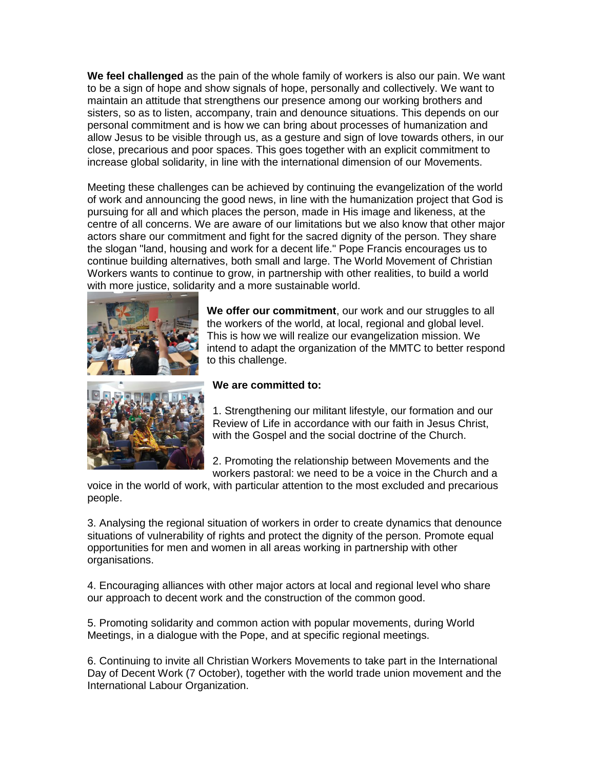**We feel challenged** as the pain of the whole family of workers is also our pain. We want to be a sign of hope and show signals of hope, personally and collectively. We want to maintain an attitude that strengthens our presence among our working brothers and sisters, so as to listen, accompany, train and denounce situations. This depends on our personal commitment and is how we can bring about processes of humanization and allow Jesus to be visible through us, as a gesture and sign of love towards others, in our close, precarious and poor spaces. This goes together with an explicit commitment to increase global solidarity, in line with the international dimension of our Movements.

Meeting these challenges can be achieved by continuing the evangelization of the world of work and announcing the good news, in line with the humanization project that God is pursuing for all and which places the person, made in His image and likeness, at the centre of all concerns. We are aware of our limitations but we also know that other major actors share our commitment and fight for the sacred dignity of the person. They share the slogan "land, housing and work for a decent life." Pope Francis encourages us to continue building alternatives, both small and large. The World Movement of Christian Workers wants to continue to grow, in partnership with other realities, to build a world with more justice, solidarity and a more sustainable world.



**We offer our commitment**, our work and our struggles to all the workers of the world, at local, regional and global level. This is how we will realize our evangelization mission. We intend to adapt the organization of the MMTC to better respond to this challenge.



#### **We are committed to:**

1. Strengthening our militant lifestyle, our formation and our Review of Life in accordance with our faith in Jesus Christ, with the Gospel and the social doctrine of the Church.

2. Promoting the relationship between Movements and the workers pastoral: we need to be a voice in the Church and a

voice in the world of work, with particular attention to the most excluded and precarious people.

3. Analysing the regional situation of workers in order to create dynamics that denounce situations of vulnerability of rights and protect the dignity of the person. Promote equal opportunities for men and women in all areas working in partnership with other organisations.

4. Encouraging alliances with other major actors at local and regional level who share our approach to decent work and the construction of the common good.

5. Promoting solidarity and common action with popular movements, during World Meetings, in a dialogue with the Pope, and at specific regional meetings.

6. Continuing to invite all Christian Workers Movements to take part in the International Day of Decent Work (7 October), together with the world trade union movement and the International Labour Organization.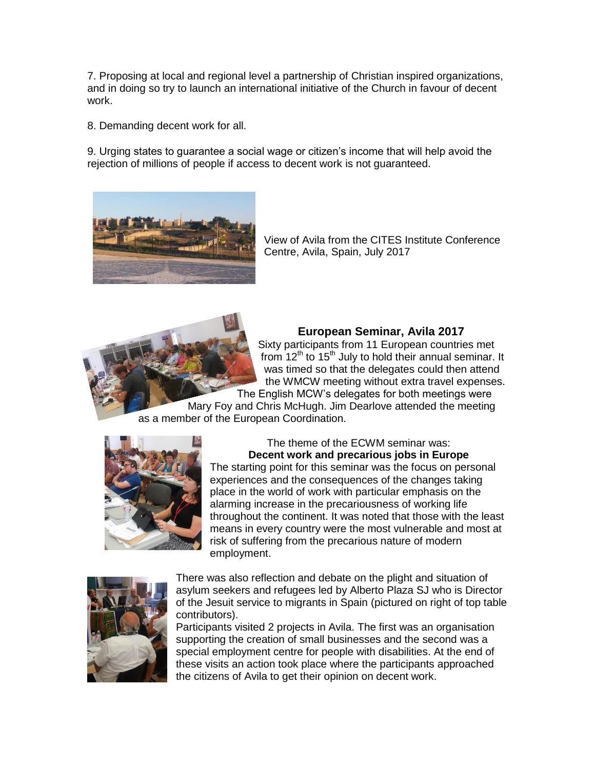7. Proposing at local and regional level a partnership of Christian inspired organizations, and in doing so try to launch an international initiative of the Church in favour of decent work.

8. Demanding decent work for all.

9. Urging states to guarantee a social wage or citizen"s income that will help avoid the rejection of millions of people if access to decent work is not guaranteed.



View of Avila from the CITES Institute Conference Centre, Avila, Spain, July 2017



# **European Seminar, Avila 2017**

Sixty participants from 11 European countries met from  $12<sup>th</sup>$  to  $15<sup>th</sup>$  July to hold their annual seminar. It was timed so that the delegates could then attend the WMCW meeting without extra travel expenses. The English MCW"s delegates for both meetings were

Mary Foy and Chris McHugh. Jim Dearlove attended the meeting as a member of the European Coordination.



The theme of the ECWM seminar was: **Decent work and precarious jobs in Europe**

The starting point for this seminar was the focus on personal experiences and the consequences of the changes taking place in the world of work with particular emphasis on the alarming increase in the precariousness of working life throughout the continent. It was noted that those with the least means in every country were the most vulnerable and most at risk of suffering from the precarious nature of modern employment.



There was also reflection and debate on the plight and situation of asylum seekers and refugees led by Alberto Plaza SJ who is Director of the Jesuit service to migrants in Spain (pictured on right of top table contributors).

Participants visited 2 projects in Avila. The first was an organisation supporting the creation of small businesses and the second was a special employment centre for people with disabilities. At the end of these visits an action took place where the participants approached the citizens of Avila to get their opinion on decent work.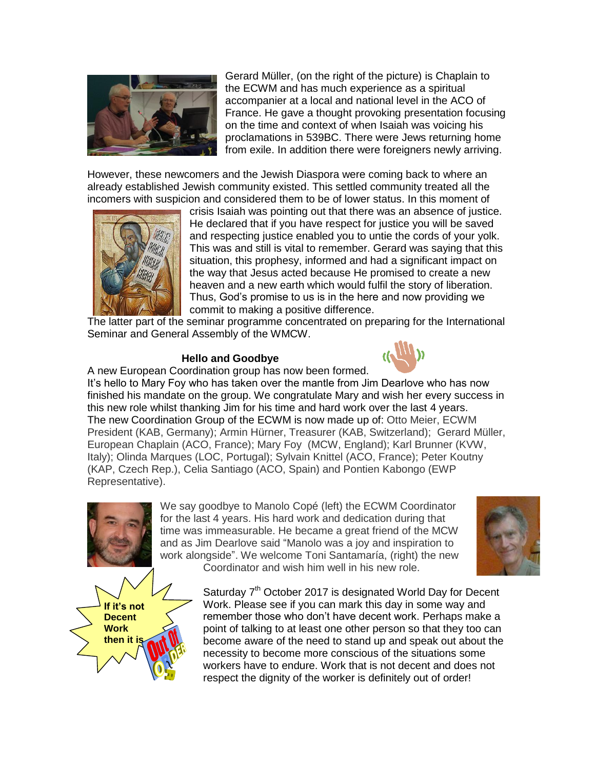

Gerard Müller, (on the right of the picture) is Chaplain to the ECWM and has much experience as a spiritual accompanier at a local and national level in the ACO of France. He gave a thought provoking presentation focusing on the time and context of when Isaiah was voicing his proclamations in 539BC. There were Jews returning home from exile. In addition there were foreigners newly arriving.

However, these newcomers and the Jewish Diaspora were coming back to where an already established Jewish community existed. This settled community treated all the incomers with suspicion and considered them to be of lower status. In this moment of



crisis Isaiah was pointing out that there was an absence of justice. He declared that if you have respect for justice you will be saved and respecting justice enabled you to untie the cords of your yolk. This was and still is vital to remember. Gerard was saying that this situation, this prophesy, informed and had a significant impact on the way that Jesus acted because He promised to create a new heaven and a new earth which would fulfil the story of liberation. Thus, God"s promise to us is in the here and now providing we commit to making a positive difference.

The latter part of the seminar programme concentrated on preparing for the International Seminar and General Assembly of the WMCW.

#### **Hello and Goodbye**



A new European Coordination group has now been formed. It"s hello to Mary Foy who has taken over the mantle from Jim Dearlove who has now finished his mandate on the group. We congratulate Mary and wish her every success in this new role whilst thanking Jim for his time and hard work over the last 4 years. The new Coordination Group of the ECWM is now made up of: Otto Meier, ECWM President (KAB, Germany); Armin Hürner, Treasurer (KAB, Switzerland); Gerard Müller, European Chaplain (ACO, France); Mary Foy (MCW, England); Karl Brunner (KVW, Italy); Olinda Marques (LOC, Portugal); Sylvain Knittel (ACO, France); Peter Koutny (KAP, Czech Rep.), Celia Santiago (ACO, Spain) and Pontien Kabongo (EWP Representative).



We say goodbye to Manolo Copé (left) the ECWM Coordinator for the last 4 years. His hard work and dedication during that time was immeasurable. He became a great friend of the MCW and as Jim Dearlove said "Manolo was a joy and inspiration to work alongside". We welcome Toni Santamaría, (right) the new Coordinator and wish him well in his new role.





Saturday 7<sup>th</sup> October 2017 is designated World Day for Decent Work. Please see if you can mark this day in some way and remember those who don"t have decent work. Perhaps make a point of talking to at least one other person so that they too can become aware of the need to stand up and speak out about the necessity to become more conscious of the situations some workers have to endure. Work that is not decent and does not respect the dignity of the worker is definitely out of order!